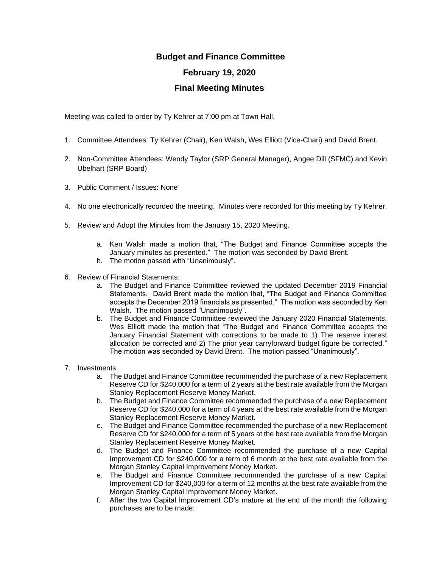## **Budget and Finance Committee February 19, 2020 Final Meeting Minutes**

Meeting was called to order by Ty Kehrer at 7:00 pm at Town Hall.

- 1. Committee Attendees: Ty Kehrer (Chair), Ken Walsh, Wes Elliott (Vice-Chari) and David Brent.
- 2. Non-Committee Attendees: Wendy Taylor (SRP General Manager), Angee Dill (SFMC) and Kevin Ubelhart (SRP Board)
- 3. Public Comment / Issues: None
- 4. No one electronically recorded the meeting. Minutes were recorded for this meeting by Ty Kehrer.
- 5. Review and Adopt the Minutes from the January 15, 2020 Meeting.
	- a. Ken Walsh made a motion that, "The Budget and Finance Committee accepts the January minutes as presented." The motion was seconded by David Brent.
	- b. The motion passed with "Unanimously".
- 6. Review of Financial Statements:
	- a. The Budget and Finance Committee reviewed the updated December 2019 Financial Statements. David Brent made the motion that, "The Budget and Finance Committee accepts the December 2019 financials as presented." The motion was seconded by Ken Walsh. The motion passed "Unanimously".
	- b. The Budget and Finance Committee reviewed the January 2020 Financial Statements. Wes Elliott made the motion that "The Budget and Finance Committee accepts the January Financial Statement with corrections to be made to 1) The reserve interest allocation be corrected and 2) The prior year carryforward budget figure be corrected." The motion was seconded by David Brent. The motion passed "Unanimously".
- 7. Investments:
	- a. The Budget and Finance Committee recommended the purchase of a new Replacement Reserve CD for \$240,000 for a term of 2 years at the best rate available from the Morgan Stanley Replacement Reserve Money Market.
	- b. The Budget and Finance Committee recommended the purchase of a new Replacement Reserve CD for \$240,000 for a term of 4 years at the best rate available from the Morgan Stanley Replacement Reserve Money Market.
	- c. The Budget and Finance Committee recommended the purchase of a new Replacement Reserve CD for \$240,000 for a term of 5 years at the best rate available from the Morgan Stanley Replacement Reserve Money Market.
	- d. The Budget and Finance Committee recommended the purchase of a new Capital Improvement CD for \$240,000 for a term of 6 month at the best rate available from the Morgan Stanley Capital Improvement Money Market.
	- e. The Budget and Finance Committee recommended the purchase of a new Capital Improvement CD for \$240,000 for a term of 12 months at the best rate available from the Morgan Stanley Capital Improvement Money Market.
	- f. After the two Capital Improvement CD's mature at the end of the month the following purchases are to be made: